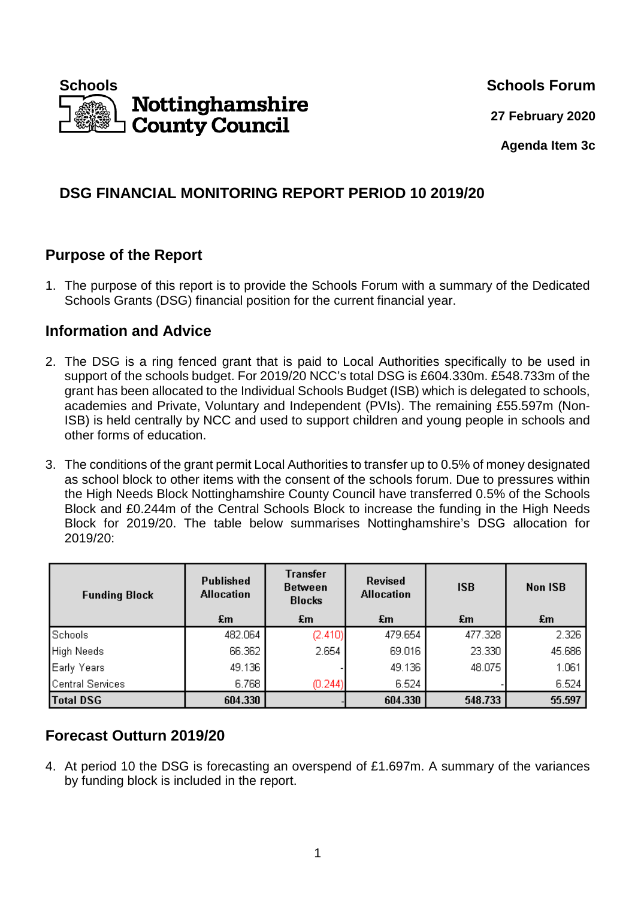

**27 February 2020**

**Agenda Item 3c** 

# **DSG FINANCIAL MONITORING REPORT PERIOD 10 2019/20**

# **Purpose of the Report**

1. The purpose of this report is to provide the Schools Forum with a summary of the Dedicated Schools Grants (DSG) financial position for the current financial year.

## **Information and Advice**

- 2. The DSG is a ring fenced grant that is paid to Local Authorities specifically to be used in support of the schools budget. For 2019/20 NCC's total DSG is £604.330m. £548.733m of the grant has been allocated to the Individual Schools Budget (ISB) which is delegated to schools, academies and Private, Voluntary and Independent (PVIs). The remaining £55.597m (Non-ISB) is held centrally by NCC and used to support children and young people in schools and other forms of education.
- 3. The conditions of the grant permit Local Authorities to transfer up to 0.5% of money designated as school block to other items with the consent of the schools forum. Due to pressures within the High Needs Block Nottinghamshire County Council have transferred 0.5% of the Schools Block and £0.244m of the Central Schools Block to increase the funding in the High Needs Block for 2019/20. The table below summarises Nottinghamshire's DSG allocation for 2019/20:

| <b>Funding Block</b> | <b>Published</b><br><b>Allocation</b> | Transfer<br><b>Between</b><br><b>Blocks</b> | <b>Revised</b><br><b>Allocation</b> | <b>ISB</b> | Non ISB |
|----------------------|---------------------------------------|---------------------------------------------|-------------------------------------|------------|---------|
|                      | £m                                    | £m                                          | £m                                  | £m         | £m      |
| Schools              | 482.064                               | (2.410)                                     | 479.654                             | 477.328    | 2.326   |
| High Needs           | 66.362                                | 2.654                                       | 69.016                              | 23.330     | 45.686  |
| Early Years          | 49.136                                |                                             | 49.136                              | 48.075     | 1.061   |
| Central Services     | 6.768                                 | (0.244)                                     | 6.524                               |            | 6.524   |
| <b>Total DSG</b>     | 604.330                               |                                             | 604.330                             | 548.733    | 55.597  |

# **Forecast Outturn 2019/20**

4. At period 10 the DSG is forecasting an overspend of £1.697m. A summary of the variances by funding block is included in the report.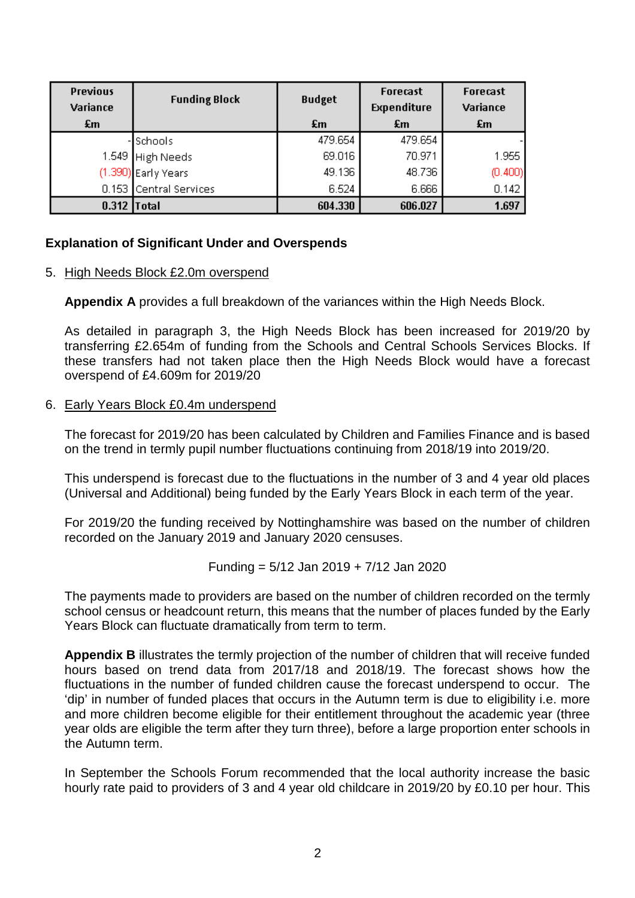| <b>Previous</b><br>Variance | <b>Funding Block</b>   | <b>Budget</b> | <b>Forecast</b><br><b>Expenditure</b> | <b>Forecast</b><br>Variance |
|-----------------------------|------------------------|---------------|---------------------------------------|-----------------------------|
| £m                          |                        | £m            | £m                                    | £m                          |
|                             | - Schools              | 479.654       | 479.654                               |                             |
|                             | 1.549 High Needs       | 69.016        | 70.971                                | 1.955                       |
|                             | (1.390) Early Years    | 49.136        | 48.736                                | (0.400)                     |
|                             | 0.153 Central Services | 6.524         | 6.666                                 | 0.142                       |
| $0.312$ Total               |                        | 604.330       | 606.027                               | 1.697                       |

### **Explanation of Significant Under and Overspends**

#### 5. High Needs Block £2.0m overspend

**Appendix A** provides a full breakdown of the variances within the High Needs Block.

As detailed in paragraph 3, the High Needs Block has been increased for 2019/20 by transferring £2.654m of funding from the Schools and Central Schools Services Blocks. If these transfers had not taken place then the High Needs Block would have a forecast overspend of £4.609m for 2019/20

#### 6. Early Years Block £0.4m underspend

The forecast for 2019/20 has been calculated by Children and Families Finance and is based on the trend in termly pupil number fluctuations continuing from 2018/19 into 2019/20.

This underspend is forecast due to the fluctuations in the number of 3 and 4 year old places (Universal and Additional) being funded by the Early Years Block in each term of the year.

For 2019/20 the funding received by Nottinghamshire was based on the number of children recorded on the January 2019 and January 2020 censuses.

Funding = 
$$
5/12
$$
 Jan 2019 +  $7/12$  Jan 2020

The payments made to providers are based on the number of children recorded on the termly school census or headcount return, this means that the number of places funded by the Early Years Block can fluctuate dramatically from term to term.

**Appendix B** illustrates the termly projection of the number of children that will receive funded hours based on trend data from 2017/18 and 2018/19. The forecast shows how the fluctuations in the number of funded children cause the forecast underspend to occur. The 'dip' in number of funded places that occurs in the Autumn term is due to eligibility i.e. more and more children become eligible for their entitlement throughout the academic year (three year olds are eligible the term after they turn three), before a large proportion enter schools in the Autumn term.

In September the Schools Forum recommended that the local authority increase the basic hourly rate paid to providers of 3 and 4 year old childcare in 2019/20 by £0.10 per hour. This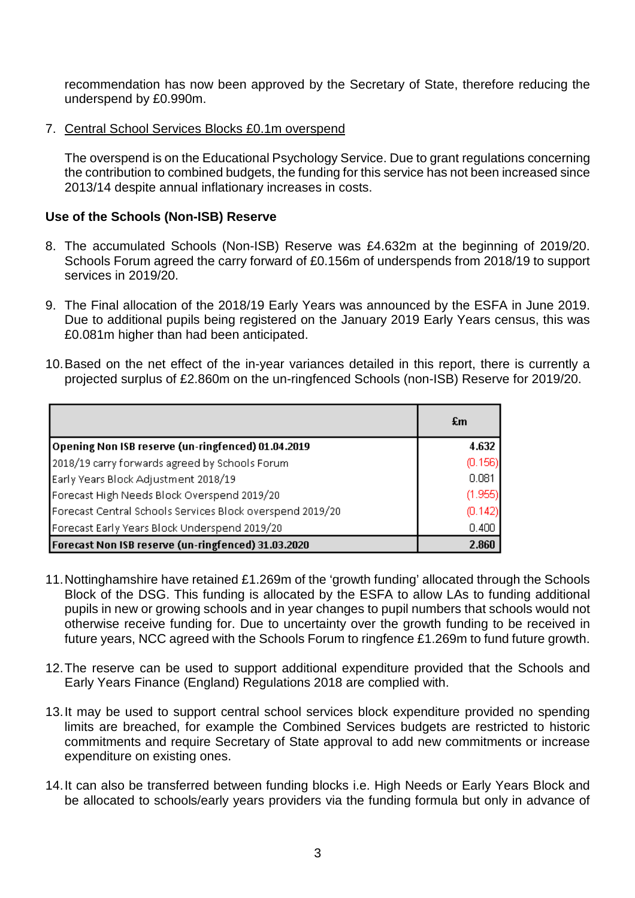recommendation has now been approved by the Secretary of State, therefore reducing the underspend by £0.990m.

7. Central School Services Blocks £0.1m overspend

The overspend is on the Educational Psychology Service. Due to grant regulations concerning the contribution to combined budgets, the funding for this service has not been increased since 2013/14 despite annual inflationary increases in costs.

### **Use of the Schools (Non-ISB) Reserve**

- 8. The accumulated Schools (Non-ISB) Reserve was £4.632m at the beginning of 2019/20. Schools Forum agreed the carry forward of £0.156m of underspends from 2018/19 to support services in 2019/20.
- 9. The Final allocation of the 2018/19 Early Years was announced by the ESFA in June 2019. Due to additional pupils being registered on the January 2019 Early Years census, this was £0.081m higher than had been anticipated.
- 10. Based on the net effect of the in-year variances detailed in this report, there is currently a projected surplus of £2.860m on the un-ringfenced Schools (non-ISB) Reserve for 2019/20.

|                                                           | £m      |
|-----------------------------------------------------------|---------|
| Opening Non ISB reserve (un-ringfenced) 01.04.2019        | 4.632   |
| 2018/19 carry forwards agreed by Schools Forum            | (0.156) |
| Early Years Block Adjustment 2018/19                      | 0.081   |
| Forecast High Needs Block Overspend 2019/20               | (1.955) |
| Forecast Central Schools Services Block overspend 2019/20 | (0.142) |
| Forecast Early Years Block Underspend 2019/20             | 0.400   |
| Forecast Non ISB reserve (un-ringfenced) 31.03.2020       | 2.860   |

- 11. Nottinghamshire have retained £1.269m of the 'growth funding' allocated through the Schools Block of the DSG. This funding is allocated by the ESFA to allow LAs to funding additional pupils in new or growing schools and in year changes to pupil numbers that schools would not otherwise receive funding for. Due to uncertainty over the growth funding to be received in future years, NCC agreed with the Schools Forum to ringfence £1.269m to fund future growth.
- 12. The reserve can be used to support additional expenditure provided that the Schools and Early Years Finance (England) Regulations 2018 are complied with.
- 13. It may be used to support central school services block expenditure provided no spending limits are breached, for example the Combined Services budgets are restricted to historic commitments and require Secretary of State approval to add new commitments or increase expenditure on existing ones.
- 14. It can also be transferred between funding blocks i.e. High Needs or Early Years Block and be allocated to schools/early years providers via the funding formula but only in advance of